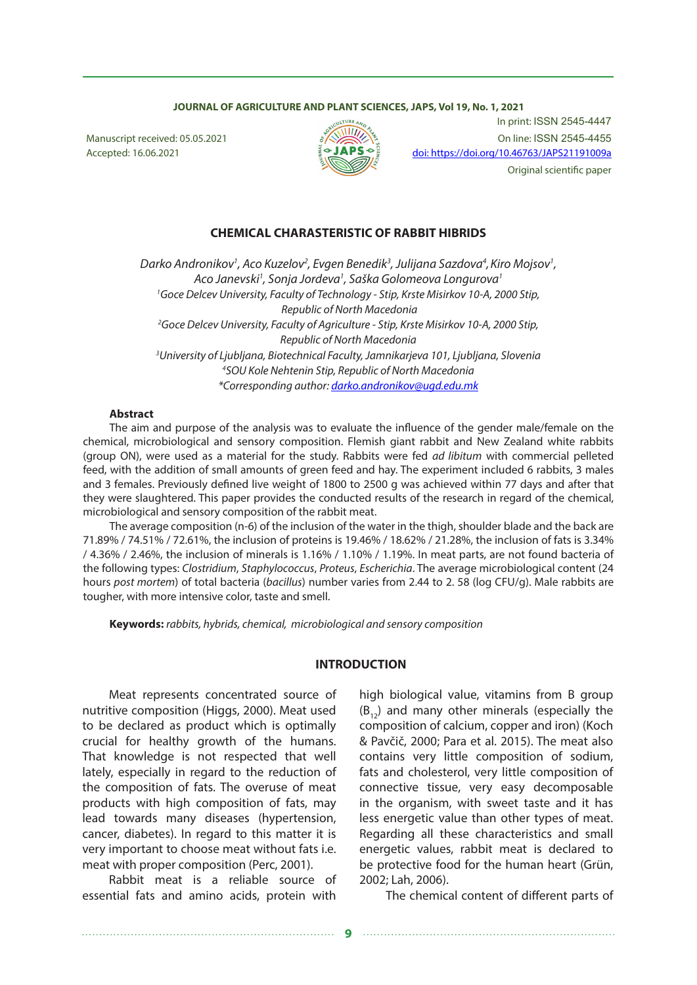#### **JOURNAL OF AGRICULTURE AND PLANT SCIENCES, JAPS, Vol 19, No. 1, 2021**



In print: ISSN 2545-4447 Manuscript received: 05.05.2021 On line: ISSN 2545-4455 Accepted: 16.06.2021  $\frac{1}{2}$   $\bigcup_{\alpha}$   $\bigcup_{\alpha}$   $\bigcup_{\alpha}$   $\bigcup_{\alpha}$  doi: https://doi.org/10.46763/JAPS21191009a Original scientific paper

#### **CHEMICAL CHARASTERISTIC OF RABBIT HIBRIDS**

Darko Andronikov<sup>1</sup>, Aco Kuzelov<sup>2</sup>, Evgen Benedik<sup>3</sup>, Julijana Sazdova<sup>4</sup>, Kiro Mojsov<sup>1</sup>, *Aco Janevski1 , Sonja Jordeva1 , Saška Golomeova Longurova1 1 Goce Delcev University, Faculty of Technology - Stip, Krste Misirkov 10-А, 2000 Stip, Republic of North Macedonia 2 Goce Delcev University, Faculty of Agriculture - Stip, Krste Misirkov 10-А, 2000 Stip, Republic of North Macedonia 3 University of Ljubljana, Biotechnical Faculty, Jamnikarjeva 101, Ljubljana, Slovenia 4 SOU Kole Nehtenin Stip, Republic of North Macedonia \*Corresponding author: darko.andronikov@ugd.edu.mk*

#### **Abstract**

The aim and purpose of the analysis was to evaluate the influence of the gender male/female on the chemical, microbiological and sensory composition. Flemish giant rabbit and New Zealand white rabbits (group ON), were used as a material for the study. Rabbits were fed *ad libitum* with commercial pelleted feed, with the addition of small amounts of green feed and hay. The experiment included 6 rabbits, 3 males and 3 females. Previously defined live weight of 1800 to 2500 g was achieved within 77 days and after that they were slaughtered. This paper provides the conducted results of the research in regard of the chemical, microbiological and sensory composition of the rabbit meat.

The average composition (n-6) of the inclusion of the water in the thigh, shoulder blade and the back are 71.89% / 74.51% / 72.61%, the inclusion of proteins is 19.46% / 18.62% / 21.28%, the inclusion of fats is 3.34% / 4.36% / 2.46%, the inclusion of minerals is 1.16% / 1.10% / 1.19%. In meat parts, are not found bacteria of the following types: *Clostridium*, *Staphylococcus*, *Proteus*, *Escherichia*. The average microbiological content (24 hours *post mortem*) of total bacteria (*bacillus*) number varies from 2.44 to 2. 58 (log CFU/g). Male rabbits are tougher, with more intensive color, taste and smell.

**Keywords:** *rabbits, hybrids, chemical, microbiological and sensory composition* 

#### **INTRODUCTION**

Meat represents concentrated source of nutritive composition (Higgs, 2000). Meat used to be declared as product which is optimally crucial for healthy growth of the humans. That knowledge is not respected that well lately, especially in regard to the reduction of the composition of fats. The overuse of meat products with high composition of fats, may lead towards many diseases (hypertension, cancer, diabetes). In regard to this matter it is very important to choose meat without fats i.e. meat with proper composition (Perc, 2001).

Rabbit meat is a reliable source of essential fats and amino acids, protein with

high biological value, vitamins from B group  $(B_{12})$  and many other minerals (especially the composition of calcium, copper and iron) (Koch & Pavčič, 2000; Para et al. 2015). The meat also contains very little composition of sodium, fats and cholesterol, very little composition of connective tissue, very easy decomposable in the organism, with sweet taste and it has less energetic value than other types of meat. Regarding all these characteristics and small energetic values, rabbit meat is declared to be protective food for the human heart (Grün, 2002; Lah, 2006).

The chemical content of different parts of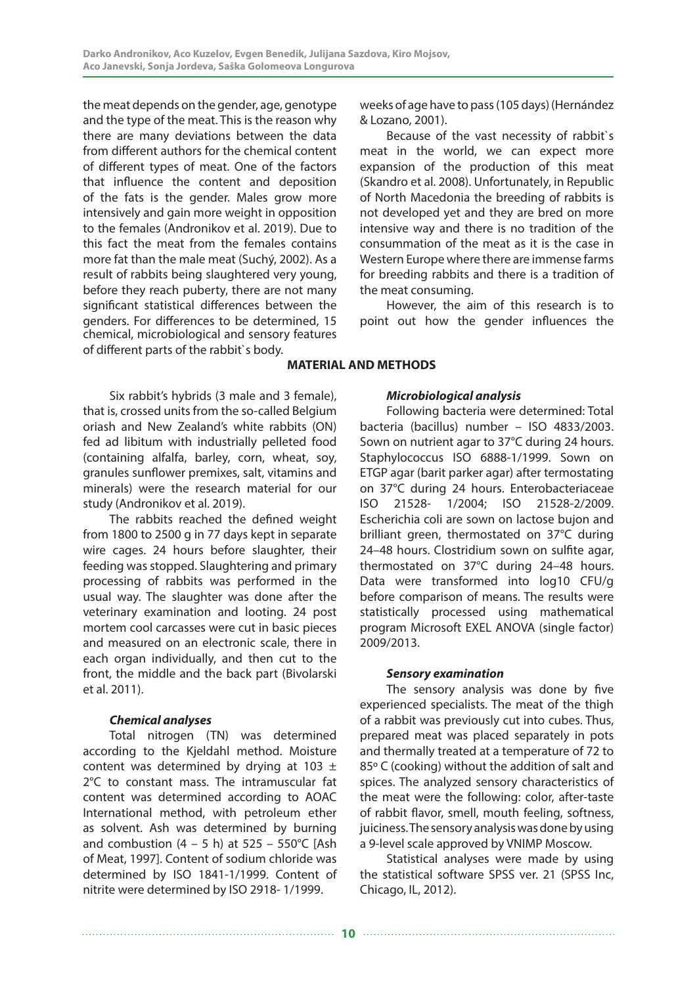the meat depends on the gender, age, genotype and the type of the meat. This is the reason why there are many deviations between the data from different authors for the chemical content of different types of meat. One of the factors that influence the content and deposition of the fats is the gender. Males grow more intensively and gain more weight in opposition to the females (Andronikov et al. 2019). Due to this fact the meat from the females contains more fat than the male meat (Suchý, 2002). As a result of rabbits being slaughtered very young, before they reach puberty, there are not many significant statistical differences between the genders. For differences to be determined, 15 chemical, microbiological and sensory features of different parts of the rabbit`s body.

Six rabbit's hybrids (3 male and 3 female), that is, crossed units from the so-called Belgium oriash and New Zealand's white rabbits (ON) fed ad libitum with industrially pelleted food (containing alfalfa, barley, corn, wheat, soy, granules sunflower premixes, salt, vitamins and minerals) were the research material for our study (Andronikov et al. 2019).

The rabbits reached the defined weight from 1800 to 2500 g in 77 days kept in separate wire cages. 24 hours before slaughter, their feeding was stopped. Slaughtering and primary processing of rabbits was performed in the usual way. The slaughter was done after the veterinary examination and looting. 24 post mortem cool carcasses were cut in basic pieces and measured on an electronic scale, there in each organ individually, and then cut to the front, the middle and the back part (Bivolarski et al. 2011).

## *Сhemical analyses*

Total nitrogen (TN) was determined according to the Kjeldahl method. Moisture content was determined by drying at 103  $\pm$ 2°C to constant mass. The intramuscular fat content was determined according to AOAC International method, with petroleum ether as solvent. Ash was determined by burning and combustion  $(4 - 5)$  h) at  $525 - 550$ °C [Ash of Meat, 1997]. Content of sodium chloride was determined by ISO 1841-1/1999. Content of nitrite were determined by ISO 2918- 1/1999.

weeks of age have to pass (105 days) (Hernández & Lozano, 2001).

Because of the vast necessity of rabbit`s meat in the world, we can expect more expansion of the production of this meat (Skandro et al. 2008). Unfortunately, in Republic of North Macedonia the breeding of rabbits is not developed yet and they are bred on more intensive way and there is no tradition of the consummation of the meat as it is the case in Western Europe where there are immense farms for breeding rabbits and there is a tradition of the meat consuming.

However, the aim of this research is to point out how the gender influences the

# **MATERIAL AND METHODS**

## *Microbiological analysis*

Following bacteria were determined: Total bacteria (bacillus) number – ISO 4833/2003. Sown on nutrient agar to 37°С during 24 hours. Staphylococcus ISO 6888-1/1999. Sown on ETGP agar (barit parker agar) after termostating on 37°С during 24 hours. Enterobacteriaceae ISO 21528- 1/2004; ISO 21528-2/2009. Escherichia coli are sown on lactose bujon and brilliant green, thermostated on 37°С during 24–48 hours. Clostridium sown on sulfite agar, thermostated on 37°С during 24–48 hours. Data were transformed into log10 CFU/g before comparison of means. The results were statistically processed using mathematical program Microsoft ЕXЕL АNOVA (single factor) 2009/2013.

## *Sensory examination*

The sensory analysis was done by five experienced specialists. The meat of the thigh of a rabbit was previously cut into cubes. Thus, prepared meat was placed separately in pots and thermally treated at a temperature of 72 to 85º C (cooking) without the addition of salt and spices. The analyzed sensory characteristics of the meat were the following: color, after-taste of rabbit flavor, smell, mouth feeling, softness, juiciness. The sensory analysis was done by using a 9-level scale approved by VNIMP Moscow.

Statistical analyses were made by using the statistical software SPSS ver. 21 (SPSS Inc, Chicago, IL, 2012).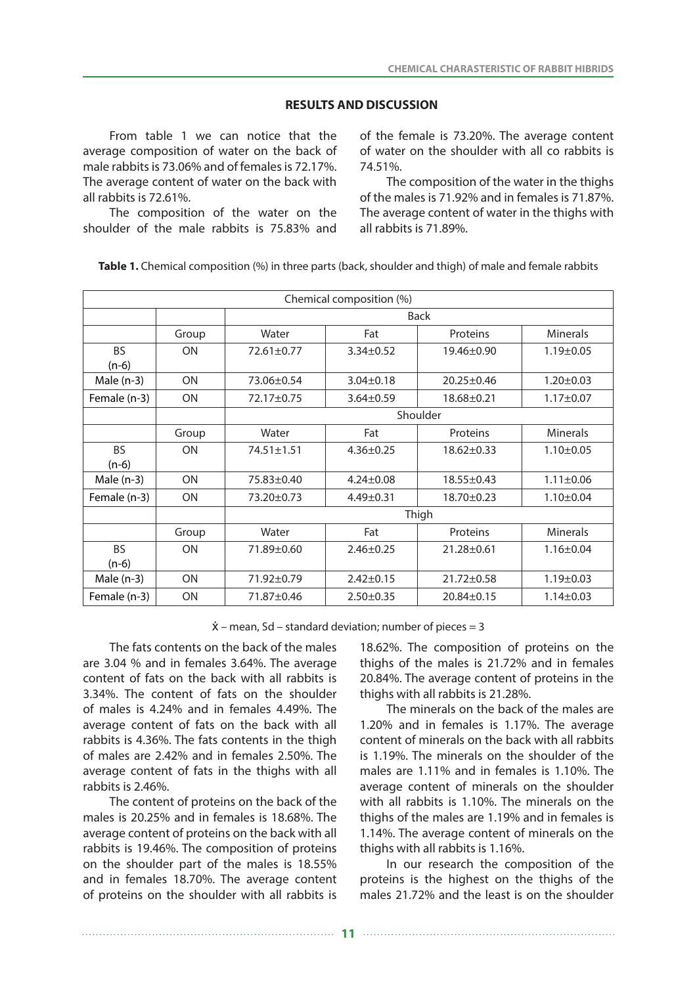#### **RESULTS AND DISCUSSION**

From table 1 we can notice that the average composition of water on the back of male rabbits is 73.06% and of females is 72.17%. The average content of water on the back with all rabbits is 72.61%.

The composition of the water on the shoulder of the male rabbits is 75.83% and

of the female is 73.20%. The average content of water on the shoulder with all co rabbits is 74.51%.

The composition of the water in the thighs of the males is 71.92% and in females is 71.87%. The average content of water in the thighs with all rabbits is 71.89%.

Table 1. Chemical composition (%) in three parts (back, shoulder and thigh) of male and female rabbits

| Chemical composition (%) |                         |                                                   |                                     |                  |                 |  |
|--------------------------|-------------------------|---------------------------------------------------|-------------------------------------|------------------|-----------------|--|
|                          |                         | <b>Back</b>                                       |                                     |                  |                 |  |
| Group                    |                         | Water                                             | Fat                                 | Proteins         | <b>Minerals</b> |  |
| <b>BS</b>                | <b>ON</b>               | 72.61±0.77                                        | $3.34 \pm 0.52$                     | 19.46±0.90       | $1.19 \pm 0.05$ |  |
| $(n-6)$                  |                         |                                                   |                                     |                  |                 |  |
| Male $(n-3)$             | <b>ON</b><br>73.06±0.54 |                                                   | $3.04 \pm 0.18$<br>$20.25 \pm 0.46$ |                  | $1.20 \pm 0.03$ |  |
| Female (n-3)             | <b>ON</b><br>72.17±0.75 |                                                   | $3.64 \pm 0.59$                     | $18.68 \pm 0.21$ | $1.17 \pm 0.07$ |  |
|                          |                         | Shoulder                                          |                                     |                  |                 |  |
|                          | Group                   | Water                                             | Fat                                 | Proteins         | <b>Minerals</b> |  |
| <b>BS</b>                | <b>ON</b>               | 74.51±1.51                                        | $4.36 \pm 0.25$                     | $18.62 \pm 0.33$ | $1.10 \pm 0.05$ |  |
| $(n-6)$                  |                         |                                                   |                                     |                  |                 |  |
| Male $(n-3)$             | <b>ON</b>               | 75.83±0.40                                        | $4.24 \pm 0.08$                     | $18.55 \pm 0.43$ | $1.11 \pm 0.06$ |  |
| Female (n-3)             | <b>ON</b>               | 73.20±0.73                                        | $4.49 \pm 0.31$                     | 18.70±0.23       | $1.10 \pm 0.04$ |  |
|                          |                         | Thigh                                             |                                     |                  |                 |  |
|                          | Group                   | Water                                             | Fat                                 | Proteins         | <b>Minerals</b> |  |
| <b>BS</b>                | <b>ON</b>               | 71.89±0.60                                        | $2.46 \pm 0.25$                     | 21.28±0.61       | $1.16 \pm 0.04$ |  |
| $(n-6)$                  |                         |                                                   |                                     |                  |                 |  |
| Male $(n-3)$             | <b>ON</b>               | 71.92±0.79<br>$2.42 \pm 0.15$<br>$21.72 \pm 0.58$ |                                     | $1.19 \pm 0.03$  |                 |  |
| Female (n-3)             | ON                      | 71.87±0.46                                        | $2.50 \pm 0.35$                     | $20.84 \pm 0.15$ | $1.14 \pm 0.03$ |  |

 $\dot{x}$  – mean, Sd – standard deviation; number of pieces = 3

The fats contents on the back of the males are 3.04 % and in females 3.64%. The average content of fats on the back with all rabbits is 3.34%. The content of fats on the shoulder of males is 4.24% and in females 4.49%. The average content of fats on the back with all rabbits is 4.36%. The fats contents in the thigh of males are 2.42% and in females 2.50%. The average content of fats in the thighs with all rabbits is 2.46%.

The content of proteins on the back of the males is 20.25% and in females is 18.68%. The average content of proteins on the back with all rabbits is 19.46%. The composition of proteins on the shoulder part of the males is 18.55% and in females 18.70%. The average content of proteins on the shoulder with all rabbits is

18.62%. The composition of proteins on the thighs of the males is 21.72% and in females 20.84%. The average content of proteins in the thighs with all rabbits is 21.28%.

The minerals on the back of the males are 1.20% and in females is 1.17%. The average content of minerals on the back with all rabbits is 1.19%. The minerals on the shoulder of the males are 1.11% and in females is 1.10%. The average content of minerals on the shoulder with all rabbits is 1.10%. The minerals on the thighs of the males are 1.19% and in females is 1.14%. The average content of minerals on the thighs with all rabbits is 1.16%.

In our research the composition of the proteins is the highest on the thighs of the males 21.72% and the least is on the shoulder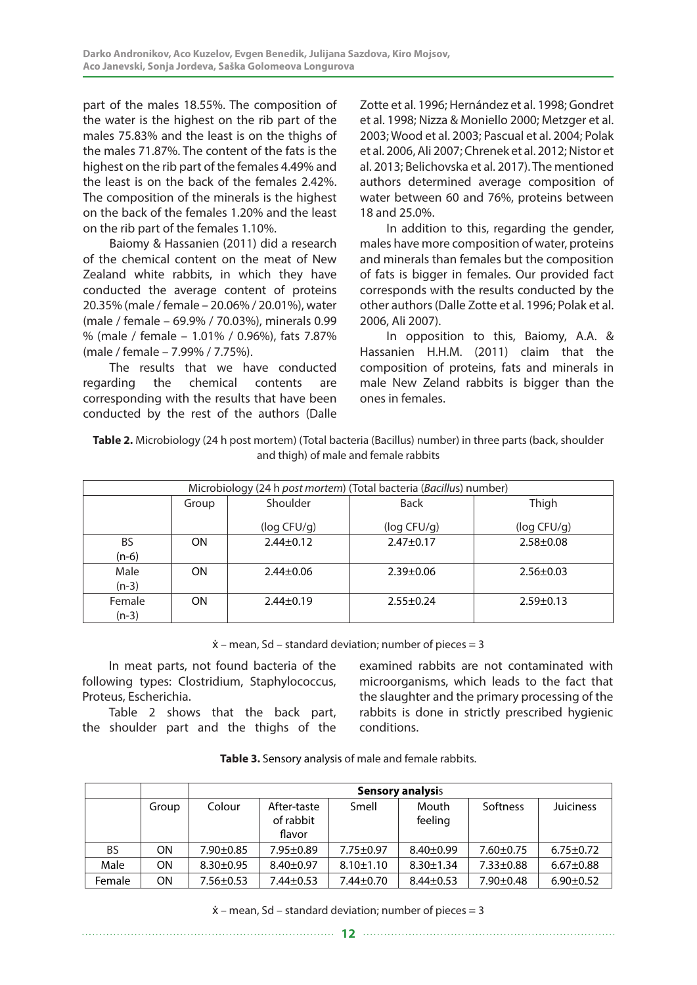part of the males 18.55%. The composition of the water is the highest on the rib part of the males 75.83% and the least is on the thighs of the males 71.87%. The content of the fats is the highest on the rib part of the females 4.49% and the least is on the back of the females 2.42%. The composition of the minerals is the highest on the back of the females 1.20% and the least on the rib part of the females 1.10%.

Baiomy & Hassanien (2011) did a research of the chemical content on the meat of New Zealand white rabbits, in which they have conducted the average content of proteins 20.35% (male / female – 20.06% / 20.01%), water (male / female – 69.9% / 70.03%), minerals 0.99 % (male / female – 1.01% / 0.96%), fats 7.87% (male / female – 7.99% / 7.75%).

The results that we have conducted regarding the chemical contents are corresponding with the results that have been conducted by the rest of the authors (Dalle

Zotte et al. 1996; Hernández et al. 1998; Gondret et al. 1998; Nizza & Moniello 2000; Metzger et al. 2003; Wood et al. 2003; Pascual et al. 2004; Polak et al. 2006, Ali 2007; Chrenek et al. 2012; Nistor et al. 2013; Belichovska et al. 2017). The mentioned authors determined average composition of water between 60 and 76%, proteins between 18 and 25.0%.

In addition to this, regarding the gender, males have more composition of water, proteins and minerals than females but the composition of fats is bigger in females. Our provided fact corresponds with the results conducted by the other authors (Dalle Zotte et al. 1996; Polak et al. 2006, Ali 2007).

In opposition to this, Baiomy, A.A. & Hassanien H.H.M. (2011) claim that the composition of proteins, fats and minerals in male New Zeland rabbits is bigger than the ones in females.

| Table 2. Microbiology (24 h post mortem) (Total bacteria (Bacillus) number) in three parts (back, shoulder |
|------------------------------------------------------------------------------------------------------------|
| and thigh) of male and female rabbits                                                                      |

| Microbiology (24 h post mortem) (Total bacteria (Bacillus) number) |           |                 |                 |                 |  |
|--------------------------------------------------------------------|-----------|-----------------|-----------------|-----------------|--|
|                                                                    | Group     | Shoulder        | <b>Back</b>     | Thigh           |  |
|                                                                    |           | (log CFU/q)     | (log CFU/q)     | (log CFU/q)     |  |
| <b>BS</b><br>$(n-6)$                                               | <b>ON</b> | $2.44 \pm 0.12$ | $2.47 \pm 0.17$ | $2.58 + 0.08$   |  |
| Male<br>$(n-3)$                                                    | <b>ON</b> | $2.44 \pm 0.06$ | $2.39 \pm 0.06$ | $2.56 \pm 0.03$ |  |
| Female<br>$(n-3)$                                                  | <b>ON</b> | $2.44 \pm 0.19$ | $2.55 \pm 0.24$ | $2.59 \pm 0.13$ |  |

 $\dot{x}$  – mean, Sd – standard deviation; number of pieces = 3

In meat parts, not found bacteria of the following types: Clostridium, Staphylococcus, Proteus, Escherichia.

Table 2 shows that the back part, the shoulder part and the thighs of the

examined rabbits are not contaminated with microorganisms, which leads to the fact that the slaughter and the primary processing of the rabbits is done in strictly prescribed hygienic conditions.

| Table 3. Sensory analysis of male and female rabbits. |  |
|-------------------------------------------------------|--|
|-------------------------------------------------------|--|

|        |       | <b>Sensory analysis</b> |                                    |                 |                  |                 |                  |
|--------|-------|-------------------------|------------------------------------|-----------------|------------------|-----------------|------------------|
|        | Group | Colour                  | After-taste<br>of rabbit<br>flavor | Smell           | Mouth<br>feeling | Softness        | <b>Juiciness</b> |
| BS     | ON.   | $7.90 \pm 0.85$         | $7.95 \pm 0.89$                    | $7.75 \pm 0.97$ | $8.40 \pm 0.99$  | $7.60 \pm 0.75$ | $6.75 \pm 0.72$  |
| Male   | ON.   | $8.30 \pm 0.95$         | $8.40 \pm 0.97$                    | $8.10 \pm 1.10$ | $8.30 \pm 1.34$  | $7.33 \pm 0.88$ | $6.67 \pm 0.88$  |
| Female | ΟN    | $7.56 \pm 0.53$         | $7.44 \pm 0.53$                    | $7.44 \pm 0.70$ | $8.44 \pm 0.53$  | $7.90 \pm 0.48$ | $6.90 \pm 0.52$  |

 $\dot{x}$  – mean, Sd – standard deviation; number of pieces = 3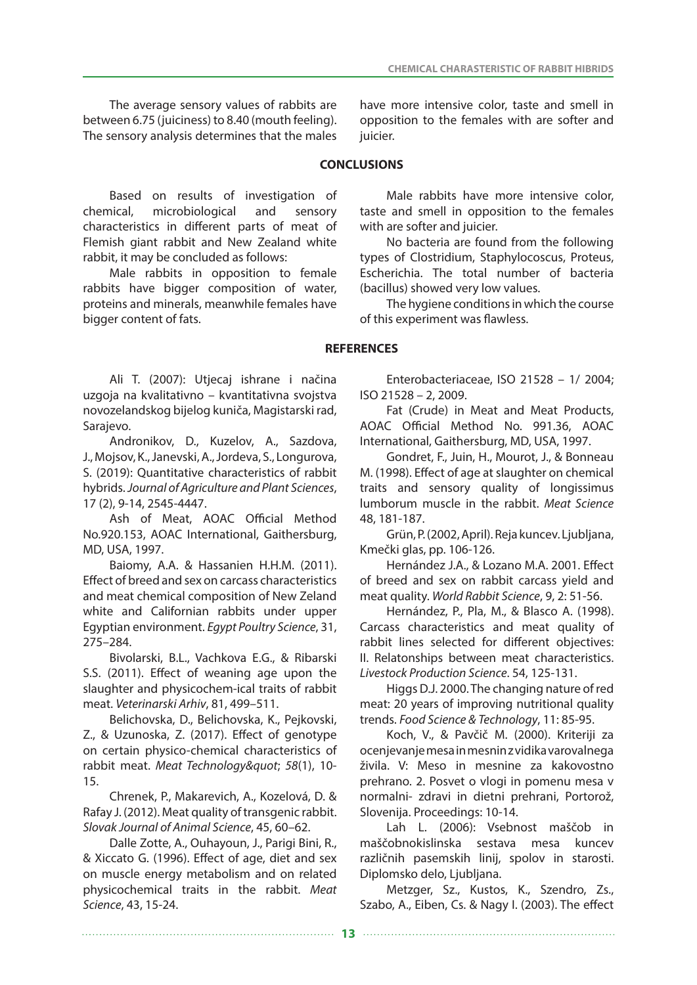The average sensory values of rabbits are between 6.75 (juiciness) to 8.40 (mouth feeling). The sensory analysis determines that the males

Based on results of investigation of chemical, microbiological and sensory characteristics in different parts of meat of Flemish giant rabbit and New Zealand white rabbit, it may be concluded as follows:

Male rabbits in opposition to female rabbits have bigger composition of water, proteins and minerals, meanwhile females have bigger content of fats.

have more intensive color, taste and smell in opposition to the females with are softer and juicier.

# **CONCLUSIONS**

Male rabbits have more intensive color, taste and smell in opposition to the females with are softer and juicier.

No bacteria are found from the following types of Clostridium, Staphylocoscus, Proteus, Escherichia. Тhe total number of bacteria (bacillus) showed very low values.

The hygiene conditions in which the course of this experiment was flawless.

# **REFERENCES**

Ali T. (2007): Utjecaj ishrane i načina uzgoja na kvalitativno – kvantitativna svojstva novozelandskog bijelog kuniča, Magistarski rad, Sarajevo.

Andronikov, D., Kuzelov, A., Sazdova, J., Mojsov, K., Janevski, A., Jordeva, S., Longurova, S. (2019): Quantitative characteristics of rabbit hybrids. *Journal of Agriculture and Plant Sciences*, 17 (2), 9-14, 2545-4447.

Ash of Meat, AOAC Official Method No.920.153, AOAC International, Gaithersburg, MD, USA, 1997.

Baiomy, A.A. & Hassanien H.H.M. (2011). Effect of breed and sex on carcass characteristics and meat chemical composition of New Zeland white and Californian rabbits under upper Egyptian environment. *Egypt Poultry Science*, 31, 275–284.

Bivolarski, B.L., Vachkova E.G., & Ribarski S.S. (2011). Effect of weaning age upon the slaughter and physicochem-ical traits of rabbit meat. *Veterinarski Arhiv*, 81, 499–511.

Belichovska, D., Belichovska, K., Pejkovski, Z., & Uzunoska, Z. (2017). Effect of genotype on certain physico-chemical characteristics of rabbit meat. Meat Technology" 58(1), 10-15.

Chrenek, P., Makarevich, A., Kozelová, D. & Rafay J. (2012). Meat quality of transgenic rabbit. *Slovak Journal of Animal Science*, 45, 60–62.

Dalle Zotte, A., Ouhayoun, J., Parigi Bini, R., & Xiccato G. (1996). Effect of age, diet and sex on muscle energy metabolism and on related physicochemical traits in the rabbit. *Meat Science*, 43, 15-24.

Enterobacteriaceae, ISO 21528 – 1/ 2004; ISO 21528 – 2, 2009.

Fat (Crude) in Meat and Meat Products, AOAC Official Method No. 991.36, AOAC International, Gaithersburg, MD, USA, 1997.

Gondret, F., Juin, H., Mourot, J., & Bonneau M. (1998). Effect of age at slaughter on chemical traits and sensory quality of longissimus lumborum muscle in the rabbit. *Meat Science* 48, 181-187.

Grün, P. (2002, April). Reja kuncev. Ljubljana, Kmečki glas, pp. 106-126.

Hernández J.A., & Lozano M.A. 2001. Effect of breed and sex on rabbit carcass yield and meat quality. *World Rabbit Science*, 9, 2: 51-56.

Hernández, P., Pla, M., & Blasco A. (1998). Carcass characteristics and meat quality of rabbit lines selected for different objectives: II. Relatonships between meat characteristics. *Livestock Production Science*. 54, 125-131.

Higgs D.J. 2000. The changing nature of red meat: 20 years of improving nutritional quality trends. *Food Science & Technology*, 11: 85-95.

Koch, V., & Pavčič M. (2000). Kriteriji za ocenjevanje mesa in mesnin z vidika varovalnega živila. V: Meso in mesnine za kakovostno prehrano. 2. Posvet o vlogi in pomenu mesa v normalni- zdravi in dietni prehrani, Portorož, Slovenija. Proceedings: 10-14.

Lah L. (2006): Vsebnost maščob in maščobnokislinska sestava mesa kuncev različnih pasemskih linij, spolov in starosti. Diplomsko delo, Ljubljana.

Metzger, Sz., Kustos, K., Szendro, Zs., Szabo, A., Eiben, Cs. & Nagy I. (2003). The effect

**13**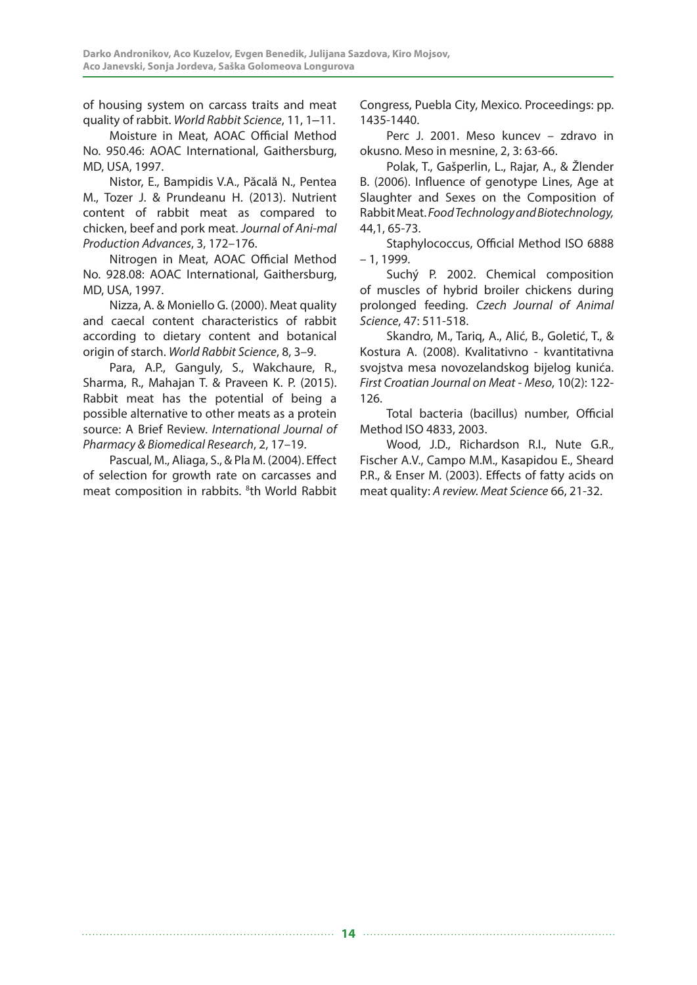of housing system on carcass traits and meat quality of rabbit. *World Rabbit Science*, 11, 1‒11.

Moisture in Meat, AOAC Official Method No. 950.46: AOAC International, Gaithersburg, MD, USA, 1997.

Nistor, E., Bampidis V.A., Păcală N., Pentea M., Tozer J. & Prundeanu H. (2013). Nutrient content of rabbit meat as compared to chicken, beef and pork meat. *Journal of Ani-mal Production Advances*, 3, 172–176.

Nitrogen in Meat, AOAC Official Method No. 928.08: AOAC International, Gaithersburg, MD, USA, 1997.

Nizza, A. & Moniello G. (2000). Meat quality and caecal content characteristics of rabbit according to dietary content and botanical origin of starch. *World Rabbit Science*, 8, 3–9.

Para, A.P., Ganguly, S., Wakchaure, R., Sharma, R., Mahajan T. & Praveen K. P. (2015). Rabbit meat has the potential of being a possible alternative to other meats as a protein source: A Brief Review. *International Journal of Pharmacy & Biomedical Research*, 2, 17–19.

Pascual, M., Aliaga, S., & Pla M. (2004). Effect of selection for growth rate on carcasses and meat composition in rabbits. <sup>8</sup>th World Rabbit Congress, Puebla City, Mexico. Proceedings: pp. 1435-1440.

Perc J. 2001. Meso kuncev – zdravo in okusno. Meso in mesnine, 2, 3: 63-66.

Polak, T., Gašperlin, L., Rajar, A., & Žlender B. (2006). Influence of genotype Lines, Age at Slaughter and Sexes on the Composition of Rabbit Meat. *Food Technology and Biotechnology,* 44,1, 65-73.

Staphylococcus, Official Method ISO 6888 – 1, 1999.

Suchý P. 2002. Chemical composition of muscles of hybrid broiler chickens during prolonged feeding. *Czech Journal of Animal Science*, 47: 511-518.

Skandro, M., Tariq, A., Alić, B., Goletić, T., & Kostura A. (2008). Kvalitativno - kvantitativna svojstva mesa novozelandskog bijelog kunića. *First Croatian Journal on Meat - Meso*, 10(2): 122- 126.

Total bacteria (bacillus) number, Official Method ISO 4833, 2003.

Wood, J.D., Richardson R.I., Nute G.R., Fischer A.V., Campo M.M., Kasapidou E., Sheard P.R., & Enser M. (2003). Effects of fatty acids on meat quality: *A review. Meat Science* 66, 21-32.